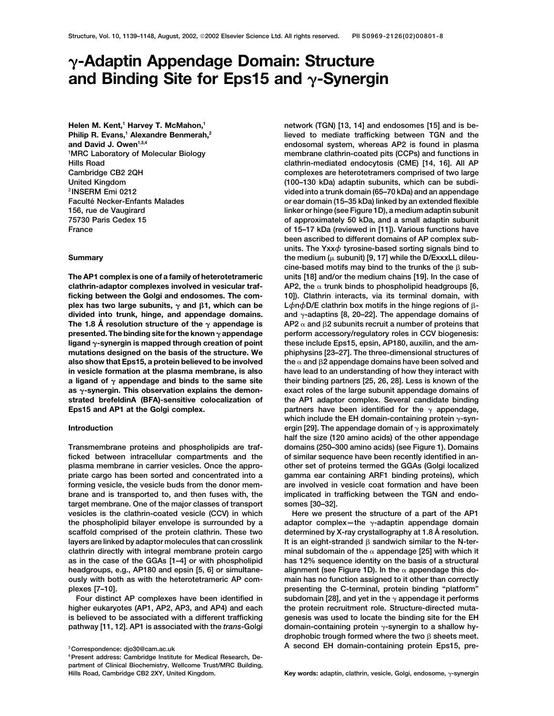# **-Adaptin Appendage Domain: Structure and Binding Site for Eps15 and γ-Synergin**

**Helen M. Kent,<sup>1</sup> Harvey T. McMahon,<sup>1</sup>** Philip R. Evans,<sup>1</sup> Alexandre Benmerah,<sup>2</sup> and David J. Owen<sup>1,3,4</sup> <sup>1</sup>MRC Laboratory of Molecular Biology

**clathrin-adaptor complexes involved in vesicular traf- AP2, the trunk binds to phospholipid headgroups [6, ficking between the Golgi and endosomes. The com- 10]). Clathrin interacts, via its terminal domain, with** plex has two large subunits,  $\gamma$  and  $\beta$ 1, which can be **divided into trunk, hinge, and appendage domains. and**  $\gamma$ -adaptins [8, 20–22]. The appendage domains of **The 1.8 Å** resolution structure of the  $\gamma$  appendage is **presented. The binding site for the known appendage perform accessory/regulatory roles in CCV biogenesis:** ligand  $\gamma$ -synergin is mapped through creation of point these include Eps15, epsin, AP180, auxilin, and the am**mutations designed on the basis of the structure. We phiphysins [23–27]. The three-dimensional structures of also show that Eps15, a protein believed to be involved the and in vesicle formation at the plasma membrane, is also have lead to an understanding of how they interact with a ligand of appendage and binds to the same site their binding partners [25, 26, 28]. Less is known of the as -synergin. This observation explains the demon- exact roles of the large subunit appendage domains of strated brefeldinA (BFA)-sensitive colocalization of the AP1 adaptor complex. Several candidate binding Eps15 and AP1 at the Golgi complex.** *partners have been identified for the*  $\gamma$  appendage,

**ficked between intracellular compartments and the of similar sequence have been recently identified in anplasma membrane in carrier vesicles. Once the appro- other set of proteins termed the GGAs (Golgi localized priate cargo has been sorted and concentrated into a gamma ear containing ARF1 binding proteins), which forming vesicle, the vesicle buds from the donor mem- are involved in vesicle coat formation and have been brane and is transported to, and then fuses with, the implicated in trafficking between the TGN and endotarget membrane. One of the major classes of transport somes [30–32].** vesicles is the clathrin-coated vesicle (CCV) in which Here we present the structure of a part of the AP1 the phospholipid bilayer envelope is surrounded by a adaptor complex—the  $\gamma$ -adaptin appendage domain **scaffold comprised of the protein clathrin. These two determined by X-ray crystallography at 1.8 A˚ resolution. layers are linked by adaptor molecules that can crosslink** clathrin directly with integral membrane protein cargo minal subdomain of the  $\alpha$  appendage [25] with which it **as in the case of the GGAs [1–4] or with phospholipid has 12% sequence identity on the basis of a structural headgroups, e.g., AP180 and epsin [5, 6] or simultane- alignment (see Figure 1D). In the appendage this doously with both as with the heterotetrameric AP com- main has no function assigned to it other than correctly plexes [7–10]. presenting the C-terminal, protein binding "platform"**

**network (TGN) [13, 14] and endosomes [15] and is believed to mediate trafficking between TGN and the endosomal system, whereas AP2 is found in plasma** membrane clathrin-coated pits (CCPs) and functions in **Hills Road clathrin-mediated endocytosis (CME) [14, 16]. All AP Cambridge CB2 2QH complexes are heterotetramers comprised of two large United Kingdom (100–130 kDa) adaptin subunits, which can be subdi- <sup>2</sup> INSERM Emi 0212 vided into a trunk domain (65–70 kDa) and an appendage Faculte´ Necker-Enfants Malades or ear domain (15–35 kDa) linked by an extended flexible 156, rue de Vaugirard linker or hinge (see Figure 1D), a medium adaptin subunit 75730 Paris Cedex 15 of approximately 50 kDa, and a small adaptin subunit France of 15–17 kDa (reviewed in [11]). Various functions have been ascribed to different domains of AP complex subunits. The Yxx***φ* **tyrosine-based sorting signals bind to Summary the medium (** $\mu$  subunit) [9, 17] while the D/ExxxLL dileu- $\mathsf{cine\text{-}based\text{-}motifs\text{-}may\text{-}bind\text{-}to\text{-}trunks\text{-}of\text{-}the\text{-}g\text{-}sub-}$ **The AP1 complex is one of a family of heterotetrameric units [18] and/or the medium chains [19]. In the case of 1, which can be L** $\phi$ n $\phi$ D/E clathrin box motifs in the hinge regions of β- $AP2 \alpha$  and  $\beta$ 2 subunits recruit a number of proteins that the  $\alpha$  and  $\beta$ 2 appendage domains have been solved and which include the EH domain-containing protein  $\gamma$ -syn-**Introduction introduction ergin [29]. The appendage domain of**  $\gamma$  is approximately **half the size (120 amino acids) of the other appendage Transmembrane proteins and phospholipids are traf- domains (250–300 amino acids) (see Figure 1). Domains**

It is an eight-stranded  $\beta$  sandwich similar to the N-ter-Four distinct AP complexes have been identified in subdomain [28], and yet in the  $\gamma$  appendage it performs higher eukaryotes (AP1, AP2, AP3, and AP4) and each the protein recruitment role. Structure-directed muta**is believed to be associated with a different trafficking genesis was used to locate the binding site for the EH** pathway [11, 12]. AP1 is associated with the *trans*-Golgi domain-containing protein  $\gamma$ -synergin to a shallow hydrophobic trough formed where the two  $\beta$  sheets meet. **<sup>3</sup> A second EH domain-containing protein Eps15, pre- Correspondence: djo30@cam.ac.uk**

**<sup>4</sup>Present address: Cambridge Institute for Medical Research, Department of Clinical Biochemistry, Wellcome Trust/MRC Building,** Hills Road, Cambridge CB2 2XY, United Kingdom. **Key words:** adaptin, clathrin, vesicle, Golgi, endosome,  $\gamma$ -synergin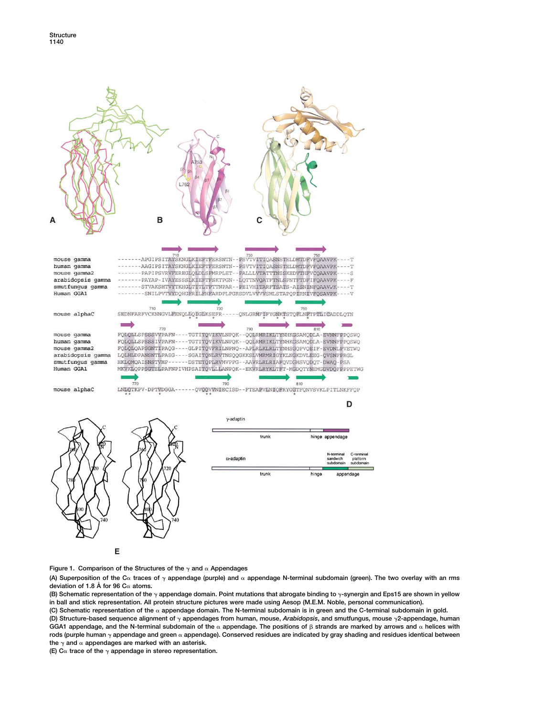

Figure 1. Comparison of the Structures of the  $\gamma$  and  $\alpha$  Appendages

(A) Superposition of the C $\alpha$  traces of  $\gamma$  appendage (purple) and  $\alpha$  appendage N-terminal subdomain (green). The two overlay with an rms **deviation of 1.8 A˚ for 96 C atoms.**

**(B)** Schematic representation of the  $\gamma$  appendage domain. Point mutations that abrogate binding to  $\gamma$ -synergin and Eps15 are shown in yellow **in ball and stick representation. All protein structure pictures were made using Aesop (M.E.M. Noble, personal communication).**

**(C) Schematic representation of the appendage domain. The N-terminal subdomain is in green and the C-terminal subdomain in gold. (D) Structure-based sequence alignment of appendages from human, mouse,** *Arabidopsis***, and smutfungus, mouse 2-appendage, human** GGA1 appendage, and the N-terminal subdomain of the  $\alpha$  appendage. The positions of  $\beta$  strands are marked by arrows and  $\alpha$  helices with **rods (purple human appendage and green appendage). Conserved residues are indicated by gray shading and residues identical between** the  $\gamma$  and  $\alpha$  appendages are marked with an asterisk.

**(E)**  $C^{\alpha}$  trace of the  $\gamma$  appendage in stereo representation.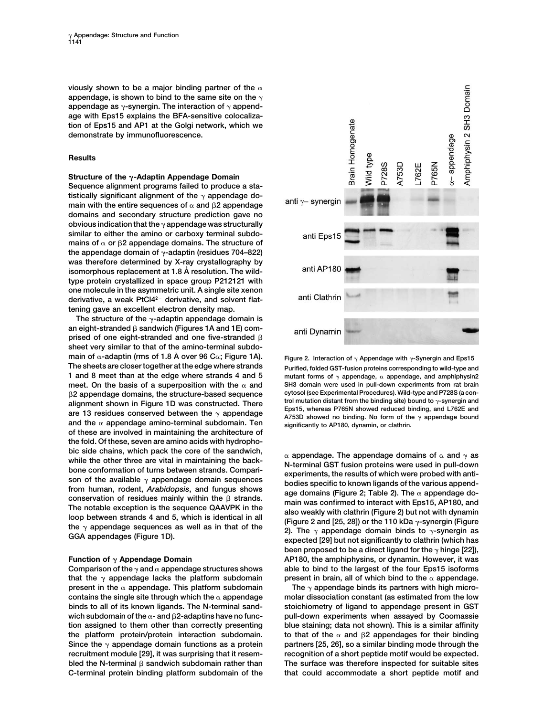**viously shown to be a major binding partner of the** appendage, is shown to bind to the same site on the  $\gamma$ appendage as  $\gamma$ -synergin. The interaction of  $\gamma$  append**age with Eps15 explains the BFA-sensitive colocalization of Eps15 and AP1 at the Golgi network, which we demonstrate by immunofluorescence.**

# **Results**

# Structure of the  $\gamma$ -Adaptin Appendage Domain

**Sequence alignment programs failed to produce a sta**tistically significant alignment of the  $\gamma$  appendage domain with the entire sequences of  $\alpha$  and  $\beta$ 2 appendage **domains and secondary structure prediction gave no obvious indication that the appendage was structurally similar to either the amino or carboxy terminal subdo**mains of  $\alpha$  or  $\beta$ 2 appendage domains. The structure of the appendage domain of  $\gamma$ -adaptin (residues 704–822) **was therefore determined by X-ray crystallography by isomorphous replacement at 1.8 A˚ resolution. The wildtype protein crystallized in space group P212121 with one molecule in the asymmetric unit. A single site xenon** derivative, a weak PtCl4<sup>2-</sup> derivative, and solvent flat**tening gave an excellent electron density map.**

The structure of the  $\gamma$ -adaptin appendage domain is an eight-stranded  $\beta$  sandwich (Figures 1A and 1E) comprised of one eight-stranded and one five-stranded  $\beta$ **sheet very similar to that of the amino-terminal subdomain of -adaptin (rms of 1.8 A˚ over 96 C; Figure 1A). Figure 2. Interaction of Appendage with -Synergin and Eps15 The sheets are closer together at the edge where strands Purified, folded GST-fusion proteins corresponding to wild-type and 1** and 8 meet than at the edge where strands 4 and 5 **mutant forms of**  $\gamma$  appendage,  $\alpha$  appendage, and amphiphysin2 **meet. On the basis of a superposition with the** α and SH3 domain were used in pull-down experiments from rat brain<br>B2 appendage domains, the structure-based sequence cytosol (see Experimental Procedures). Wild-type and P  $\beta$ 2 appendage domains, the structure-based sequence alignment shown in Figure 1D was constructed. There<br>are 13 residues conserved between the  $\gamma$  appendage<br>and the  $\alpha$  appendage amino-terminal subdomain. Ten<br>and the  $\alpha$  appendage amino-terminal subdomain. Ten<br>and the  $\$ **of these are involved in maintaining the architecture of the fold. Of these, seven are amino acids with hydropho**bic side chains, which pack the core of the sandwich,<br>while the other three are vital in maintaining the back-<br>bone conformation of turns between strands. Compari-<br>son of the available  $\gamma$  appendage domain sequences<br>from

**that the**  $\gamma$  appendage lacks the platform subdomain present in brain, all of which bind to the  $\alpha$  appendage. **present in the**  $\alpha$  appendage. This platform subdomain The  $\gamma$  appendage binds its partners with high micro**contains the single site through which the appendage molar dissociation constant (as estimated from the low binds to all of its known ligands. The N-terminal sand- stoichiometry of ligand to appendage present in GST** wich subdomain of the  $\alpha$ - and  $\beta$ 2-adaptins have no func**tion assigned to them other than correctly presenting blue staining; data not shown). This is a similar affinity the platform protein/protein interaction subdomain.** Since the  $\gamma$  appendage domain functions as a protein partners [25, 26], so a similar binding mode through the **recruitment module [29], it was surprising that it resem- recognition of a short peptide motif would be expected.** bled the N-terminal  $\beta$  sandwich subdomain rather than **C-terminal protein binding platform subdomain of the that could accommodate a short peptide motif and**



conservation of residues mainly within the  $\beta$  strands.<br>
The notable exception is the sequence QAAVPK in the<br>
loop between strands 4 and 5, which is identical in all<br>
the  $\gamma$  appendage sequences as well as in that of th been proposed to be a direct ligand for the  $\gamma$  hinge [22]), **Function of**  $\gamma$  Appendage Domain **AP180, the amphiphysins, or dynamin. However, it was** Comparison of the  $\gamma$  and  $\alpha$  appendage structures shows able to bind to the largest of the four Eps15 isoforms

> pull-down experiments when assayed by Coomassie to that of the  $\alpha$  and  $\beta$ 2 appendages for their binding The surface was therefore inspected for suitable sites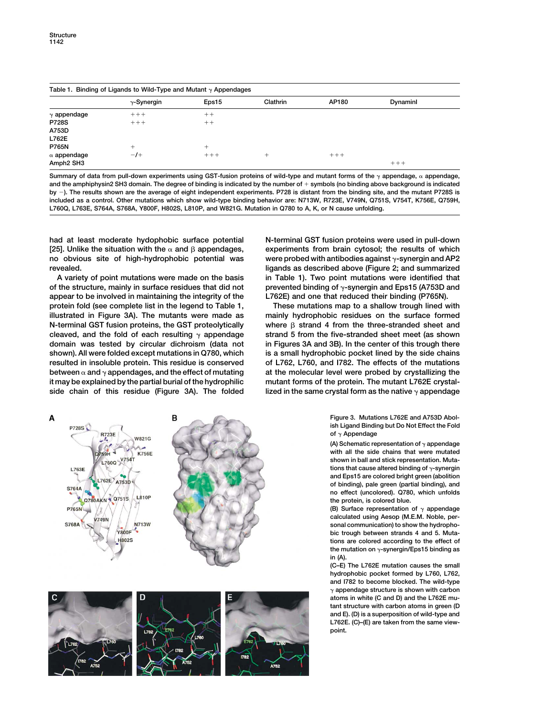A

| Table 1. Binding of Ligands to Wild-Type and Mutant $\gamma$ Appendages |                    |        |          |         |          |  |  |
|-------------------------------------------------------------------------|--------------------|--------|----------|---------|----------|--|--|
|                                                                         | $\gamma$ -Synergin | Eps15  | Clathrin | AP180   | Dynaminl |  |  |
| $\gamma$ appendage                                                      | $++++$             | $++$   |          |         |          |  |  |
| <b>P728S</b>                                                            | $+++$              | $++$   |          |         |          |  |  |
| A753D                                                                   |                    |        |          |         |          |  |  |
| L762E                                                                   |                    |        |          |         |          |  |  |
| <b>P765N</b>                                                            | +                  | $\div$ |          |         |          |  |  |
| $\alpha$ appendage                                                      | $-1$               | $+++$  | +        | $+ + +$ |          |  |  |
| Amph <sub>2</sub> SH <sub>3</sub>                                       |                    |        |          |         | $+++$    |  |  |

Summary of data from pull-down experiments using GST-fusion proteins of wild-type and mutant forms of the  $\gamma$  appendage,  $\alpha$  appendage, **and the amphiphysin2 SH3 domain. The degree of binding is indicated by the number of symbols (no binding above background is indicated by ). The results shown are the average of eight independent experiments. P728 is distant from the binding site, and the mutant P728S is included as a control. Other mutations which show wild-type binding behavior are: N713W, R723E, V749N, Q751S, V754T, K756E, Q759H, L760Q, L763E, S764A, S768A, Y800F, H802S, L810P, and W821G. Mutation in Q780 to A, K, or N cause unfolding.**

**had at least moderate hydophobic surface potential N-terminal GST fusion proteins were used in pull-down** [25]. Unlike the situation with the  $\alpha$  and  $\beta$  appendages, **no obvious site of high-hydrophobic potential was were probed with antibodies against -synergin and AP2 revealed. ligands as described above (Figure 2; and summarized**

**of the structure, mainly in surface residues that did not prevented binding of -synergin and Eps15 (A753D and appear to be involved in maintaining the integrity of the L762E) and one that reduced their binding (P765N). protein fold (see complete list in the legend to Table 1, These mutations map to a shallow trough lined with illustrated in Figure 3A). The mutants were made as mainly hydrophobic residues on the surface formed N-terminal GST fusion proteins, the GST proteolytically** cleaved, and the fold of each resulting  $\gamma$  appendage strand 5 from the five-stranded sheet meet (as shown **domain was tested by circular dichroism (data not in Figures 3A and 3B). In the center of this trough there shown). All were folded except mutations in Q780, which is a small hydrophobic pocket lined by the side chains resulted in insoluble protein. This residue is conserved of L762, L760, and I782. The effects of the mutations** between  $\alpha$  and  $\gamma$  appendages, and the effect of mutating at the molecular level were probed by crystallizing the **it may be explained by the partial burial of the hydrophilic mutant forms of the protein. The mutant L762E crystal**side chain of this residue (Figure 3A). The folded lized in the same crystal form as the native  $\gamma$  appendage

 **appendages, experiments from brain cytosol; the results of which A variety of point mutations were made on the basis in Table 1). Two point mutations were identified that**

where  $\beta$  strand 4 from the three-stranded sheet and

**Figure 3. Mutations L762E and A753D Abolish Ligand Binding but Do Not Effect the Fold of Appendage**

**(A) Schematic representation of appendage with all the side chains that were mutated shown in ball and stick representation. Muta**tions that cause altered binding of  $\gamma$ -synergin **and Eps15 are colored bright green (abolition of binding), pale green (partial binding), and no effect (uncolored). Q780, which unfolds the protein, is colored blue.**

**(B) Surface representation of appendage calculated using Aesop (M.E.M. Noble, personal communication) to show the hydrophobic trough between strands 4 and 5. Mutations are colored according to the effect of the mutation on -synergin/Eps15 binding as in (A).**

**(C–E) The L762E mutation causes the small hydrophobic pocket formed by L760, L762, and I782 to become blocked. The wild-type appendage structure is shown with carbon atoms in white (C and D) and the L762E mutant structure with carbon atoms in green (D and E). (D) is a superposition of wild-type and L762E. (C)–(E) are taken from the same viewpoint.**



В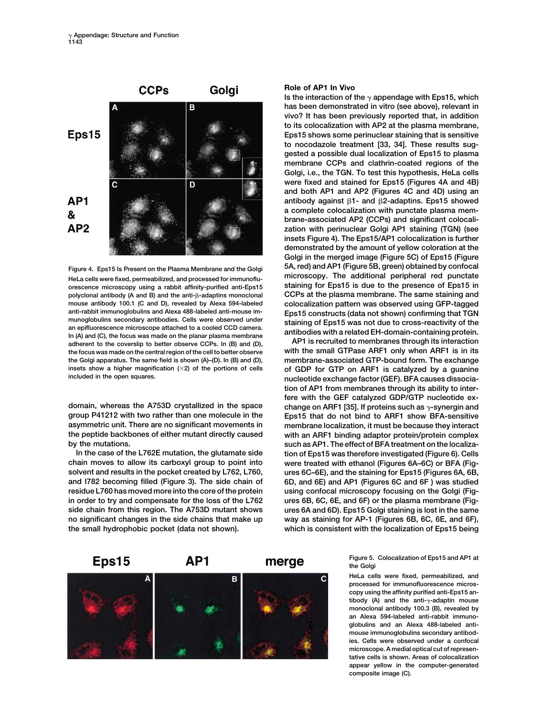

**orescence microscopy using a rabbit affinity-purified anti-Eps15** polyclonal antibody (A and B) and the anti- $\beta$ -adaptins monoclonal anti-rabbit immunoglobulins and Alexa 488-labeled anti-mouse im-<br>munoglobulins secondary antibodies. Cells were observed under<br>an epifluorescence microscope attached to a cooled CCD camera.<br>In (A) and (C), the focus was ma **adderent to the coverslip to better observe CCPs. In (B) and (D), AP1 is recruited to membranes through its interaction** and the coversipt to better observe CCPs. In (B) and (D), **AP1** is recruited to membranes through the focus was made on the central region of the cell to better observe

**group P41212 with two rather than one molecule in the Eps15 that do not bind to ARF1 show BFA-sensitive asymmetric unit. There are no significant movements in membrane localization, it must be because they interact**

**chain moves to allow its carboxyl group to point into were treated with ethanol (Figures 6A–6C) or BFA (Figsolvent and results in the pocket created by L762, L760, ures 6C–6E), and the staining for Eps15 (Figures 6A, 6B, and I782 becoming filled (Figure 3). The side chain of 6D, and 6E) and AP1 (Figures 6C and 6F ) was studied residue L760 has moved more into the core of the protein using confocal microscopy focusing on the Golgi (Figin order to try and compensate for the loss of the L762 ures 6B, 6C, 6E, and 6F) or the plasma membrane (Figside chain from this region. The A753D mutant shows ures 6A and 6D). Eps15 Golgi staining is lost in the same no significant changes in the side chains that make up way as staining for AP-1 (Figures 6B, 6C, 6E, and 6F), the small hydrophobic pocket (data not shown). which is consistent with the localization of Eps15 being**

### **Role of AP1 In Vivo**

**Is the interaction of the**  $\gamma$  appendage with Eps15, which **has been demonstrated in vitro (see above), relevant in vivo? It has been previously reported that, in addition to its colocalization with AP2 at the plasma membrane, Eps15 shows some perinuclear staining that is sensitive to nocodazole treatment [33, 34]. These results suggested a possible dual localization of Eps15 to plasma membrane CCPs and clathrin-coated regions of the Golgi, i.e., the TGN. To test this hypothesis, HeLa cells were fixed and stained for Eps15 (Figures 4A and 4B) and both AP1 and AP2 (Figures 4C and 4D) using an** antibody against  $\beta$ 1- and  $\beta$ 2-adaptins. Eps15 showed **a complete colocalization with punctate plasma membrane-associated AP2 (CCPs) and significant colocalization with perinuclear Golgi AP1 staining (TGN) (see insets Figure 4). The Eps15/AP1 colocalization is further demonstrated by the amount of yellow coloration at the Golgi in the merged image (Figure 5C) of Eps15 (Figure 5A, red) and AP1 (Figure 5B, green) obtained by confocal Figure 4. Eps15 Is Present on the Plasma Membrane and the Golgi** HeLa cells were fixed, permeabilized, and processed for immunoflu-<br>
orescence microscopy using a rabbit affinity-purified anti-Fps15 staining for Eps15 is due to the presence of Eps15 in **CCPs at the plasma membrane. The same staining and mouse antibody 100.1 (C and D), revealed by Alexa 594-labeled colocalization pattern was observed using GFP-tagged**

**the Golgi apparatus. The same field is shown (A)–(D). In (B) and (D), membrane-associated GTP-bound form. The exchange insets show a higher magnification (2) of the portions of cells of GDP for GTP on ARF1 is catalyzed by a guanine** nucleotide exchange factor (GEF). BFA causes dissocia**tion of AP1 from membranes through its ability to interfere with the GEF catalyzed GDP/GTP nucleotide exdomain, whereas the A753D crystallized in the space change on ARF1 [35]. If proteins such as -synergin and** with an ARF1 binding adaptor protein/protein complex **by the mutations. such as AP1. The effect of BFA treatment on the localiza-In the case of the L762E mutation, the glutamate side tion of Eps15 was therefore investigated (Figure 6). Cells**

> **Figure 5. Colocalization of Eps15 and AP1 at the Golgi**

> **HeLa cells were fixed, permeabilized, and processed for immunofluorescence microscopy using the affinity purified anti-Eps15 antibody (A) and the anti--adaptin mouse monoclonal antibody 100.3 (B), revealed by an Alexa 594-labeled anti-rabbit immunoglobulins and an Alexa 488-labeled antimouse immunoglobulins secondary antibodies. Cells were observed under a confocal microscope. A medial optical cut of representative cells is shown. Areas of colocalization appear yellow in the computer-generated composite image (C).**

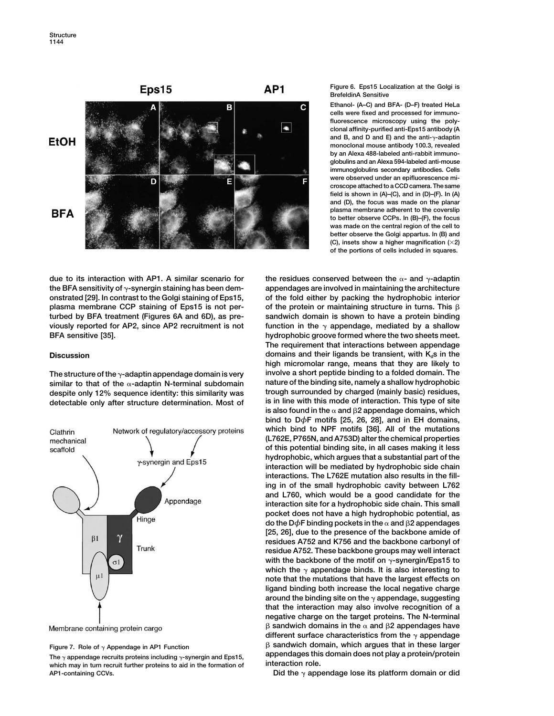

due to its interaction with AP1. A similar scenario for the residues conserved between the  $\alpha$ - and  $\gamma$ -adaptin **the BFA sensitivity of -synergin staining has been dem- appendages are involved in maintaining the architecture onstrated [29]. In contrast to the Golgi staining of Eps15, of the fold either by packing the hydrophobic interior plasma membrane CCP staining of Eps15 is not per-** of the protein or maintaining structure in turns. This β **turbed by BFA treatment (Figures 6A and 6D), as pre- sandwich domain is shown to have a protein binding viously reported for AP2, since AP2 recruitment is not function in the appendage, mediated by a shallow BFA sensitive [35]. hydrophobic groove formed where the two sheets meet.** 

detectable only after structure determination. Most of

![](_page_5_Figure_5.jpeg)

Membrane containing protein cargo

which may in turn recruit further proteins to aid in the formation of **AP1-containing CCVs. Did the**  $\gamma$  appendage lose its platform domain or did

**Figure 6. Eps15 Localization at the Golgi is BrefeldinA Sensitive**

**Ethanol- (A–C) and BFA- (D–F) treated HeLa cells were fixed and processed for immunofluorescence microscopy using the polyclonal affinity-purified anti-Eps15 antibody (A** and B, and D and E) and the anti- $\gamma$ -adaptin **monoclonal mouse antibody 100.3, revealed by an Alexa 488-labeled anti-rabbit immunoglobulins and an Alexa 594-labeled anti-mouse immunoglobulins secondary antibodies. Cells were observed under an epifluorescence microscope attached to a CCD camera. The same field is shown in (A)–(C), and in (D)–(F). In (A) and (D), the focus was made on the planar plasma membrane adherent to the coverslip to better observe CCPs. In (B)–(F), the focus was made on the central region of the cell to better observe the Golgi appartus. In (B) and (C), insets show a higher magnification (2) of the portions of cells included in squares.**

**The requirement that interactions between appendage Discussion domains and their ligands be transient, with K<sub>d</sub>s in the high micromolar range, means that they are likely to** The structure of the  $\gamma$ -adaptin appendage domain is very **involve a short peptide binding to a folded domain.** The similar to that of the  $\alpha$ -adaptin N-terminal subdomain nature of the binding site, namely a shallow hyd **similar to that of the -adaptin N-terminal subdomain nature of the binding site, namely a shallow hydrophobic despite only 12% sequence identity: this similarity was trough surrounded by charged (mainly basic) residues,** is also found in the  $\alpha$  and  $\beta$ 2 appendage domains, which **bind to D***φ***F motifs [25, 26, 28], and in EH domains, which bind to NPF motifs [36]. All of the mutations (L762E, P765N, and A753D) alter the chemical properties of this potential binding site, in all cases making it less hydrophobic, which argues that a substantial part of the interaction will be mediated by hydrophobic side chain interactions. The L762E mutation also results in the filling in of the small hydrophobic cavity between L762 and L760, which would be a good candidate for the interaction site for a hydrophobic side chain. This small pocket does not have a high hydrophobic potential, as do the D** $\phi$ **F binding pockets in the**  $\alpha$  **and β2 appendages [25, 26], due to the presence of the backbone amide of residues A752 and K756 and the backbone carbonyl of residue A752. These backbone groups may well interact** with the backbone of the motif on  $\gamma$ -synergin/Eps15 to which the  $\gamma$  appendage binds. It is also interesting to **note that the mutations that have the largest effects on ligand binding both increase the local negative charge around the binding site on the appendage, suggesting that the interaction may also involve recognition of a negative charge on the target proteins. The N-terminal**  $\beta$  sandwich domains in the  $\alpha$  and  $\beta$ 2 appendages have different surface characteristics from the  $\gamma$  appendage **Figure 7. Role of**  $\gamma$  Appendage in AP1 Function **Figure 1. Comain 4. Propendies** B sandwich domain, which argues that in these larger Figure 7. Role of  $\gamma$  Appendage in AP1 Function<br>
The  $\gamma$  appendage recruits proteins including  $\gamma$ -synergin and Eps15,<br>
which may in turn recruit further proteins to sid in the formation of **interaction role**.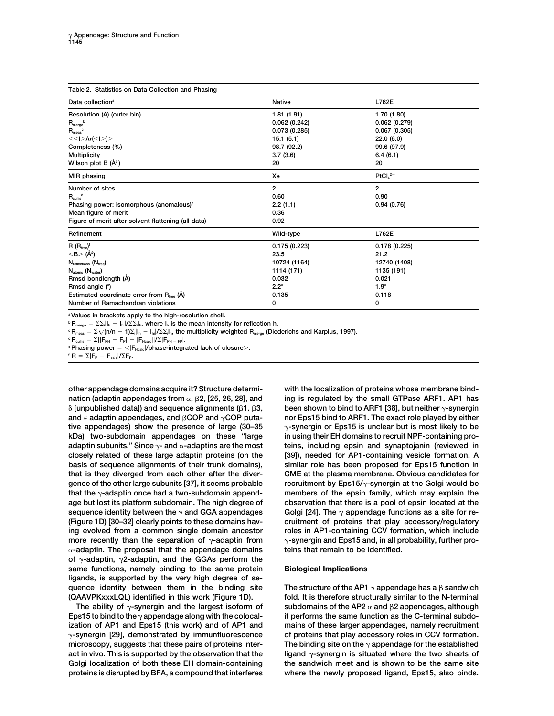| Table 2. Statistics on Data Collection and Phasing          |                |                |  |  |  |  |
|-------------------------------------------------------------|----------------|----------------|--|--|--|--|
| Data collection <sup>a</sup>                                | <b>Native</b>  | L762E          |  |  |  |  |
| Resolution (Å) (outer bin)                                  | 1.81(1.91)     | 1.70 (1.80)    |  |  |  |  |
| $R_{\text{merge}}^{\qquad b}$                               | 0.062(0.242)   | 0.062(0.279)   |  |  |  |  |
| $R_{meas}$                                                  | 0.073(0.285)   | 0.067(0.305)   |  |  |  |  |
| $<<$  >/ $\sigma$ (< >)>                                    | 15.1(5.1)      | 22.0(6.0)      |  |  |  |  |
| Completeness (%)                                            | 98.7 (92.2)    | 99.6 (97.9)    |  |  |  |  |
| <b>Multiplicity</b>                                         | 3.7(3.6)       | 6.4(6.1)       |  |  |  |  |
| Wilson plot B $(\mathring{A}^2)$                            | 20             | 20             |  |  |  |  |
| MIR phasing                                                 | Xe             | $PtCl42-$      |  |  |  |  |
| Number of sites                                             | $\overline{2}$ | $\overline{2}$ |  |  |  |  |
| $R_{\text{cullis}}^{\text{d}}$                              | 0.60           | 0.90           |  |  |  |  |
| Phasing power: isomorphous (anomalous) <sup>e</sup>         | 2.2(1.1)       | 0.94(0.76)     |  |  |  |  |
| Mean figure of merit                                        | 0.36           |                |  |  |  |  |
| Figure of merit after solvent flattening (all data)         | 0.92           |                |  |  |  |  |
| Refinement                                                  | Wild-type      | L762E          |  |  |  |  |
| $R(R_{\text{free}})^f$                                      | 0.175(0.223)   | 0.178(0.225)   |  |  |  |  |
| $<$ B $>$ (Å <sup>2</sup> )                                 | 23.5           | 21.2           |  |  |  |  |
| $N_{reflections} (N_{free})$                                | 10724 (1164)   | 12740 (1408)   |  |  |  |  |
| $N_{atoms}$ ( $N_{water}$ )                                 | 1114 (171)     | 1135 (191)     |  |  |  |  |
| Rmsd bondlength (Å)                                         | 0.032          | 0.021          |  |  |  |  |
| Rmsd angle (°)                                              | $2.2^\circ$    | $1.9^\circ$    |  |  |  |  |
| Estimated coordinate error from $R_{\text{free}}$ ( $\AA$ ) | 0.135          | 0.118          |  |  |  |  |
| Number of Ramachandran violations                           | 0              | 0              |  |  |  |  |

**aValues in brackets apply to the high-resolution shell.**

 ${}^{\text{b}}\mathbf{R}_{\text{merge}} = \Sigma\Sigma_i|\mathbf{I}_\text{h} - \mathbf{I}_\text{hi}/\Sigma\Sigma_i\mathbf{I}_\text{h}$ , where  $\mathbf{I}_\text{h}$  is the mean intensity for reflection h.

 $^{\circ}$ R<sub>meas</sub> =  $\Sigma$   $\sqrt{(n/n-1)\Sigma_i}$ I<sub>h</sub>  $-$  I<sub>hi</sub>I/ $\Sigma\Sigma_i$ I<sub>b</sub>, the multiplicity weighted R<sub>merge</sub> (Diederichs and Karplus, 1997).

<sup>d</sup>R<sub>cullis</sub> = Σ||F<sub>PH</sub> - F<sub>P</sub>| - |F<sub>Hcalc</sub>||/Σ|F<sub>PH - FP</sub>|.<br>°Phasing power = <|F<sub>Hcalc</sub>|/phase-integrated lack of closure>.<br>' R = Σ|F<sub>P</sub> - F<sub>calc</sub>|/ΣF<sub>P</sub>.

nation (adaptin appendages from  $\alpha$ ,  $\beta$ 2, [25, 26, 28], and  $\delta$  [unpublished data]) and sequence alignments ( $\beta$ 1,  $\beta$ and  $\epsilon$  adaptin appendages, and  $\beta$ COP and  $\gamma$ COP putative appendages) show the presence of large (30–35  $\gamma$ -synergin or Eps15 is unclear but is most likely to be **kDa) two-subdomain appendages on these "large in using their EH domains to recruit NPF-containing proadaptin subunits." Since - and -adaptins are the most teins, including epsin and synaptojanin (reviewed in closely related of these large adaptin proteins (on the [39]), needed for AP1-containing vesicle formation. A basis of sequence alignments of their trunk domains), similar role has been proposed for Eps15 function in that is they diverged from each other after the diver- CME at the plasma membrane. Obvious candidates for gence of the other large subunits [37], it seems probable recruitment by Eps15/-synergin at the Golgi would be that the -adaptin once had a two-subdomain append- members of the epsin family, which may explain the age but lost its platform subdomain. The high degree of observation that there is a pool of epsin located at the sequence identity between the and GGA appendages Golgi [24]. The appendage functions as a site for re- (Figure 1D) [30–32] clearly points to these domains hav- cruitment of proteins that play accessory/regulatory ing evolved from a common single domain ancestor roles in AP1-containing CCV formation, which include more recently than the separation of γ-adaptin from** γ-synergin and Eps15 and, in all probability, further pro-**-adaptin. The proposal that the appendage domains teins that remain to be identified.** of  $\gamma$ -adaptin,  $\gamma$ 2-adaptin, and the GGAs perform the **same functions, namely binding to the same protein Biological Implications ligands, is supported by the very high degree of se**quence identity between them in the binding site

The ability of  $\gamma$ -synergin and the largest isoform of **Eps15 to bind to the appendage along with the colocal- it performs the same function as the C-terminal subdoization of AP1 and Eps15 (this work) and of AP1 and mains of these larger appendages, namely recruitment -synergin [29], demonstrated by immunfluorescence of proteins that play accessory roles in CCV formation. microscopy, suggests that these pairs of proteins inter- The binding site on the appendage for the established act in vivo. This is supported by the observation that the ligand -synergin is situated where the two sheets of Golgi localization of both these EH domain-containing the sandwich meet and is shown to be the same site proteins is disrupted by BFA, a compound that interferes where the newly proposed ligand, Eps15, also binds.**

**other appendage domains acquire it? Structure determi- with the localization of proteins whose membrane bind-2, [25, 26, 28], and ing is regulated by the small GTPase ARF1. AP1 has been shown to bind to ARF1 [38], but neither**  $\gamma$ **-synergin COP and COP puta- nor Eps15 bind to ARF1. The exact role played by either**

The structure of the AP1  $\gamma$  appendage has a  $\beta$  sandwich **(QAAVPKxxxLQL) identified in this work (Figure 1D). fold. It is therefore structurally similar to the N-terminal** subdomains of the AP2  $\alpha$  and  $\beta$ 2 appendages, although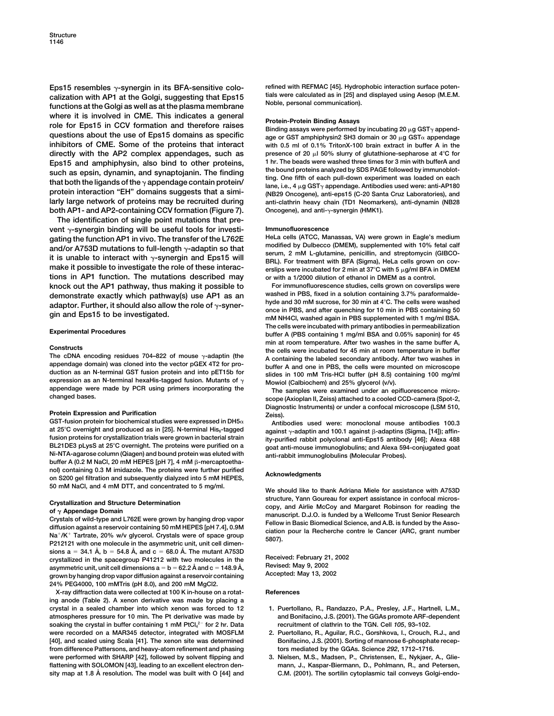Eps15 resembles  $\gamma$ -synergin in its BFA-sensitive colo-<br>calization with AP1 at the Golgi, suggesting that Eps15 tials were calculated as in [25] and displayed using Aesop (M.E.M. calization with AP1 at the Golgi, suggesting that Eps15 Trais were calculated as in [25] an<br>functions at the Golgi as well as at the plasma membrane Noble, personal communication). where it is involved in CME. This indicates a general<br>
role for Eps15 in CCV formation and therefore raises<br>
questions about the use of Eps15 domains as specific<br>
inhibitors of CME. Some of the proteins that interact<br>
inh **directly with the AP2 complex appendages, such as presence of 20**  $\mu$  50% slurry of glutathione-sepharose at 4<sup>°</sup>C for **Frence 20 Frence 20**  $\mu$  50% slurry of glutathione-sepharose at 4<sup>°</sup>C for **Frence 1** for a subs **Eps15 and amphiphysin, also bind to other proteins, 1 hr. The beads were washed three times for 3 min with bufferA and** such as epsin, dynamin, and synaptojanin. The finding<br>that both the ligands of the  $\gamma$  appendage contain protein/<br>protein interaction "EH" domains suggests that a simi-<br>(NB29 Oncogene), anti-eps15 (C-20 Santa Cruz Labora **larly large network of proteins may be recruited during anti-clathrin heavy chain (TD1 Neomarkers), anti-dynamin (NB28 both AP1- and AP2-containing CCV formation (Figure 7). Oncogene), and anti--synergin (HMK1).**

**The identification of single point mutations that prevent -synergin binding will be useful tools for investi- Immunofluorescence gating the function AP1 in vivo. The transfer of the L762E HeLa cells (ATCC, Manassas, VA) were grown in Eagle's medium** and/or A753D mutations to full-length  $\gamma$ -adaptin so that<br>it is unable to interact with  $\gamma$ -synergin and Eps15 will<br>make it possible to investigate the role of these interac-<br>make it possible to investigate the role of **tions in AP1 function. The mutations described may or with a 1/2000 dilution of ethanol in DMEM as a control. knock out the AP1 pathway, thus making it possible to For immunofluorescence studies, cells grown on coverslips were**

### **Protein Expression and Purification** *Zeiss*.

GST-fusion protein for biochemical studies were expressed in DH5α Antibodies used were: monoclonal mouse antibodies 100.3 **at 25<sup>°</sup>C overnight and produced as in [25]. N-terminal His<sub>6</sub>-tagged fusion proteins for crystallization trials were grown in bacterial strain ity-purified rabbit polyclonal anti-Eps15 antibody [46]; Alexa 488 BL21DE3 pLysS at 25C overnight. The proteins were purified on a goat anti-mouse immunoglobulins; and Alexa 594-conjugated goat** buffer A (0.2 M NaCl, 20 mM HEPES [pH 7], 4 mM β-mercaptoetha**nol) containing 0.3 M imidazole. The proteins were further purified Acknowledgments on S200 gel filtration and subsequently dialyzed into 5 mM HEPES, 50 mM NaCl, and 4 mM DTT, and concentrated to 5 mg/ml. We should like to thank Adriana Miele for assistance with A753D**

 $sions a = 34.1 \nÅ, b = 54.8 \nÅ, and c = 68.0 \nÅ. The mutant A753D$ **Crystallized in the spacegroup P41212 with two molecules in the** Received: February 21, 2002<br> **asymmetric unit unit cell dimensions**  $a = h = 62.2 \text{ Å}$  **and**  $c = 148.9 \text{ Å}$  **Revised: May 9, 2002** asymmetric unit, unit cell dimensions  $a = b = 62.2$  Å and  $c = 148.9$  Å, Hevised: May 9, 2002<br>grown by hanging drop vapor diffusion against a reservoir containing Accepted: May 13, 2002 **24% PEG4000, 100 mMTris (pH 8.0), and 200 mM MgCl2.**

**X-ray diffraction data were collected at 100 K in-house on a rotat- References ing anode (Table 2). A xenon derivative was made by placing a crystal in a sealed chamber into which xenon was forced to 12 1. Puertollano, R., Randazzo, P.A., Presley, J.F., Hartnell, L.M., atmospheres pressure for 10 min. The Pt derivative was made by and Bonifacino, J.S. (2001). The GGAs promote ARF-dependent** soaking the crystal in buffer containing 1 mM PtCl<sub>4</sub><sup>2-</sup> for 2 hr. Data **were recorded on a MAR345 detector, integrated with MOSFLM 2. Puertollano, R., Aguilar, R.C., Gorshkova, I., Crouch, R.J., and** [40], and scaled using Scala [41]. The xenon site was determined **Bonifacino, J.S. (2001). Sorting of mannose 6-phosphate recepfrom difference Pattersons, and heavy-atom refinement and phasing tors mediated by the GGAs. Science** *292***, 1712–1716. were performed with SHARP [42], followed by solvent flipping and 3. Nielsen, M.S., Madsen, P., Christensen, E., Nykjaer, A., Glieflattening with SOLOMON [43], leading to an excellent electron den- mann, J., Kaspar-Biermann, D., Pohlmann, R., and Petersen, sity map at 1.8 A˚ resolution. The model was built with O [44] and C.M. (2001). The sortilin cytoplasmic tail conveys Golgi-endo-**

with 0.5 ml of 0.1% TritonX-100 brain extract in buffer A in the

**erslips were incubated for 2 min at 37<sup>°</sup>C with 5**  $\mu$ **g/ml BFA in DMEM** 

demonstrate exactly which pathway(s) use AP1 as an washed in PBS, fixed in a solution containing 3.7% paraformalde-<br>adaptor. Further, it should also allow the role of  $\gamma$ -syner-<br>gin and Eps15 to be investigated.<br>and Eps1 **The cells were incubated with primary antibodies in permeabilization Experimental Procedures buffer A (PBS containing 1 mg/ml BSA and 0.05% saponin) for 45** Constructs<br>
The cDNA encoding residues 704-822 of mouse  $\gamma$ -adaptin (the<br>
appendage domain) was cloned into the vector pGEX 4T2 for pro-<br>
duction as an N-terminal GST fusion protein and into pET15b for<br>
expression as an

**Diagnostic Instruments) or under a confocal microscope (LSM 510,**

against y-adaptin and 100.1 against  $\beta$ -adaptins (Sigma, [14]); affinanti-rabbit immunoglobulins (Molecular Probes).

Crystallization and Structure Determination<br>
of  $\gamma$  Appendage Domain<br>
Crystals of wild-type and L762E were grown by hanging drop vapor<br>
diffusion against a reservoir containing 50 mM HEPES [pH 7.4], 0.9M<br>
Na<sup>+</sup>/K<sup>+</sup> Tartr

- **<sup>2</sup> for 2 hr. Data recruitment of clathrin to the TGN. Cell** *105***, 93–102.**
- 
-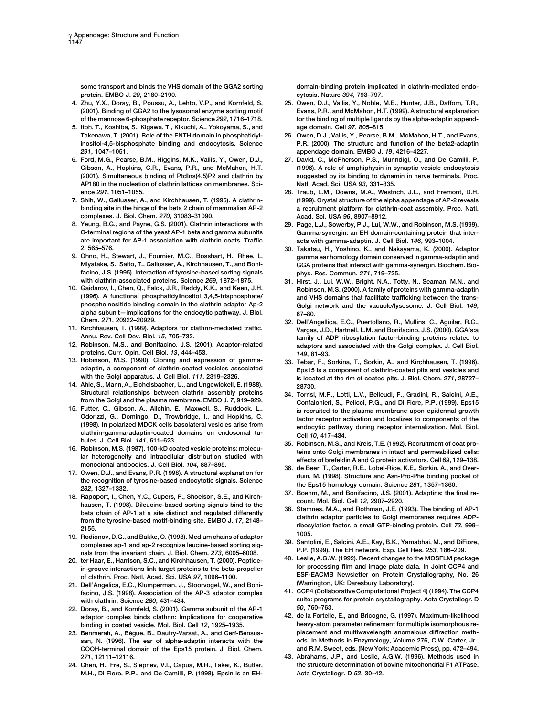some transport and binds the VHS domain of the GGA2 sorting domain-binding protein implicated in clathrin-mediated endo**protein. EMBO J.** *20***, 2180–2190. cytosis. Nature** *394***, 793–797.**

- 
- **5. Itoh, T., Koshiba, S., Kigawa, T., Kikuchi, A., Yokoyama, S., and age domain. Cell** *97***, 805–815. Takenawa, T. (2001). Role of the ENTH domain in phosphatidyl- 26. Owen, D.J., Vallis, Y., Pearse, B.M., McMahon, H.T., and Evans,** *291***, 1047–1051. appendage domain. EMBO J.** *19***, 4216–4227.**
- **AP180 in the nucleation of clathrin lattices on membranes. Sci- Natl. Acad. Sci. USA** *93***, 331–335.**
- **complexes. J. Biol. Chem.** *270***, 31083–31090. Acad. Sci. USA** *96***, 8907–8912.**
- **are important for AP-1 association with clathrin coats. Traffic acts with gamma-adaptin. J. Cell Biol.** *146***, 993–1004.**
- **facino, J.S. (1995). Interaction of tyrosine-based sorting signals phys. Res. Commun.** *271***, 719–725.**
- **alpha subunit—implications for the endocytic pathway. J. Biol. 67–80.**
- 
- **proteins. Curr. Opin. Cell Biol.** *13***, 444–453.** *149***, 81–93.**
- 
- **14. Ahle, S., Mann, A., Eichelsbacher, U., and Ungewickell, E. (1988). 28730.**
- 
- 
- 
- 
- 
- 
- facino, J.S. (1998). Association of the AP-3 adaptor complex
- **22. Doray, B., and Kornfeld, S. (2001). Gamma subunit of the AP-1** *50***, 760–763.** adaptor complex binds clathrin: Implications for cooperative
- 23. Benmerah, A., Bègue, B., Dautry-Varsat, A., and Cerf-Bensus-
- **M.H., Di Fiore, P.P., and De Camilli, P. (1998). Epsin is an EH- Acta Crystallogr. D** *52***, 30–42.**

- 25. Owen, D.J., Vallis, Y., Noble, M.E., Hunter, J.B., Dafforn, T.R., **(2001). Binding of GGA2 to the lysosomal enzyme sorting motif Evans, P.R., and McMahon, H.T. (1999). A structural explanation of the mannose 6-phosphate receptor. Science** *292***, 1716–1718. for the binding of multiple ligands by the alpha-adaptin append-**
- **inositol-4,5-bisphosphate binding and endocytosis. Science P.R. (2000). The structure and function of the beta2-adaptin**
- **6. Ford, M.G., Pearse, B.M., Higgins, M.K., Vallis, Y., Owen, D.J., 27. David, C., McPherson, P.S., Munndigl, O., and De Camilli, P. Gibson, A., Hopkins, C.R., Evans, P.R., and McMahon, H.T. (1996). A role of amphiphysin in synaptic vesicle endocytosis (2001). Simultaneous binding of PtdIns(4,5)P2 and clathrin by suggested by its binding to dynamin in nerve terminals. Proc.**
- **ence** *291***, 1051–1055. 28. Traub, L.M., Downs, M.A., Westrich, J.L., and Fremont, D.H. 7. Shih, W., Gallusser, A., and Kirchhausen, T. (1995). A clathrin- (1999). Crystal structure of the alpha appendage of AP-2 reveals binding site in the hinge of the beta 2 chain of mammalian AP-2 a recruitment platform for clathrin-coat assembly. Proc. Natl.**
- **8. Yeung, B.G., and Payne, G.S. (2001). Clathrin interactions with 29. Page, L.J., Sowerby, P.J., Lui, W.W., and Robinson, M.S. (1999). C-terminal regions of the yeast AP-1 beta and gamma subunits Gamma-synergin: an EH domain-containing protein that inter-**
- *2***, 565–576. 30. Takatsu, H., Yoshino, K., and Nakayama, K. (2000). Adaptor 9. Ohno, H., Stewart, J., Fournier, M.C., Bosshart, H., Rhee, I., gamma ear homology domain conserved in gamma-adaptin and** GGA proteins that interact with gamma-synergin. Biochem. Bio-
- **with clathrin-associated proteins. Science** *269***, 1872–1875. 31. Hirst, J., Lui, W.W., Bright, N.A., Totty, N., Seaman, M.N., and 10. Gaidarov, I., Chen, Q., Falck, J.R., Reddy, K.K., and Keen, J.H. Robinson, M.S. (2000). A family of proteins with gamma-adaptin (1996). A functional phosphatidylinositol 3,4,5-trisphosphate/ and VHS domains that facilitate trafficking between the trans-**Golgi network and the vacuole/lysosome. J. Cell Biol. 149,
- **Chem.** *271***, 20922–20929. 32. Dell'Angellica, E.C., Puertollano, R., Mullins, C., Aguilar, R.C., 11. Kirchhausen, T. (1999). Adaptors for clathrin-mediated traffic. Vargas, J.D., Hartnell, L.M. and Bonifacino, J.S. (2000). GGA's:a Annu. Rev. Cell Dev. Biol.** *15***, 705–732. family of ADP ribosylation factor-binding proteins related to** adaptors and associated with the Golgi complex. J. Cell Biol.
	- **13. Robinson, M.S. (1990). Cloning and expression of gamma- 33. Tebar, F., Sorkina, T., Sorkin, A., and Kirchhausen, T. (1996). adaptin, a component of clathrin-coated vesicles associated Eps15 is a component of clathrin-coated pits and vesicles and with the Golgi apparatus. J. Cell Biol.** *111***, 2319–2326. is located at the rim of coated pits. J. Biol. Chem.** *271***, 28727–**
- **Structural relationships between clathrin assembly proteins 34. Torrisi, M.R., Lotti, L.V., Belleudi, F., Gradini, R., Salcini, A.E.,** from the Golgi and the plasma membrane. EMBO J. 7, 919–929.<br>
The Ecotic P.G., and Di Fiore, P.P. (1999). Eps15<br>
Evert, C., Gioson, A., Allchin, E., Machin, E., Machin, E., Machin, E., Machin, E., Machin, E., Machin, E., Ma
	-
	-
	-
	-
	-
- 19. Rodionov, D.G., and Bakke, O. (1998). Medium chains of adaptor<br>
complexes ap-1 and ap-2 recognize leucine-based sorting sig-<br>
nals from the invariant chain. J. Biol. Chem. 273, 6005-6008.<br>
20. ter Haar, E., Harrison, S of clathrin. Proc. Natl. Acad. Sci. USA 97, 1096–1100.<br>21. Dell'Angelica, E.C., Klumperman, J., Stoorvogel, W., and Boni- (Warrington, UK: Daresbury Laboratory).<br>21. Calle Angelica, E.C., Klumperman, J., Stoorvogel, W., an
	- with clathrin. Science 280, 431–434.<br> **With clathrin. Science 280, 431–434.** *Summa subupit of the AB-1* 50. 760–763.<br>
	Doray B. and Korpfeld, S. (2001). Camma subupit of the AB-1 50. 760–763.
	- **binding in coated vesicle. Mol. Biol. Cell** *12***, 1925–1935. heavy-atom parameter refinement for multiple isomorphous resan, N. (1996). The ear of alpha-adaptin interacts with the ods. In Methods in Enzymology, Volume 276, C.W. Carter, Jr., COOH-terminal domain of the Eps15 protein. J. Biol. Chem. and R.M. Sweet, eds. (New York: Academic Press), pp. 472–494.**
- *271***, 12111–12116. 43. Abrahams, J.P., and Leslie, A.G.W. (1996). Methods used in 24. Chen, H., Fre, S., Slepnev, V.I., Capua, M.R., Takei, K., Butler, the structure determination of bovine mitochondrial F1 ATPase.**